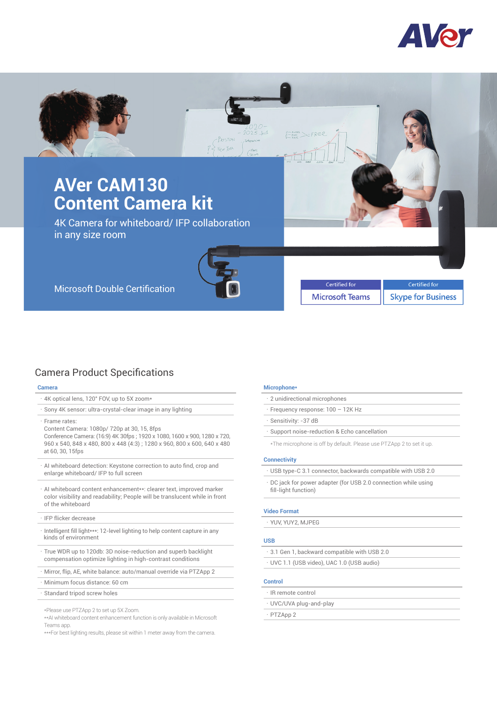



# Camera Product Specifications

# **Camera**

- 4K optical lens, 120° FOV, up to 5X zoom\*
- .Sony 4K sensor: ultra-crystal-clear image in any lighting
- .Frame rates:
- Content Camera: 1080p/ 720p at 30, 15, 8fps

 Conference Camera: (16:9) 4K 30fps ; 1920 x 1080, 1600 x 900, 1280 x 720, 960 x 540, 848 x 480, 800 x 448 (4:3) ; 1280 x 960, 800 x 600, 640 x 480 at 60, 30, 15fps

- .AI whiteboard detection: Keystone correction to auto find, crop and enlarge whiteboard/ IFP to full screen
- .AI whiteboard content enhancement\*\*: clearer text, improved marker color visibility and readability; People will be translucent while in front of the whiteboard
- .IFP flicker decrease
- Intelligent fill light\*\*\*: 12-level lighting to help content capture in any kinds of environment
- .True WDR up to 120db: 3D noise-reduction and superb backlight compensation optimize lighting in high-contrast conditions
- .Mirror, flip, AE, white balance: auto/manual override via PTZApp 2
- .Minimum focus distance: 60 cm
- .Standard tripod screw holes

\*Please use PTZApp 2 to set up 5X Zoom.

\*\*AI whiteboard content enhancement function is only available in Microsoft Teams app.

\*\*\*For best lighting results, please sit within 1 meter away from the camera.

#### **Microphone\***

| 2 unidirectional microphones             |
|------------------------------------------|
| $\cdot$ Frequency response: 100 – 12K Hz |
| · Sensitivity: -37 dB                    |

.Support noise-reduction & Echo cancellation

\*The microphone is off by default. Please use PTZApp 2 to set it up.

#### **Connectivity**

- .USB type-C 3.1 connector, backwards compatible with USB 2.0
- .DC jack for power adapter (for USB 2.0 connection while using fill-light function)

#### **Video Format**

.YUV, YUY2, MJPEG

# **USB**

- .3.1 Gen 1, backward compatible with USB 2.0
- .UVC 1.1 (USB video), UAC 1.0 (USB audio)

# **Control**

- .IR remote control
- .UVC/UVA plug-and-play
- .PTZApp 2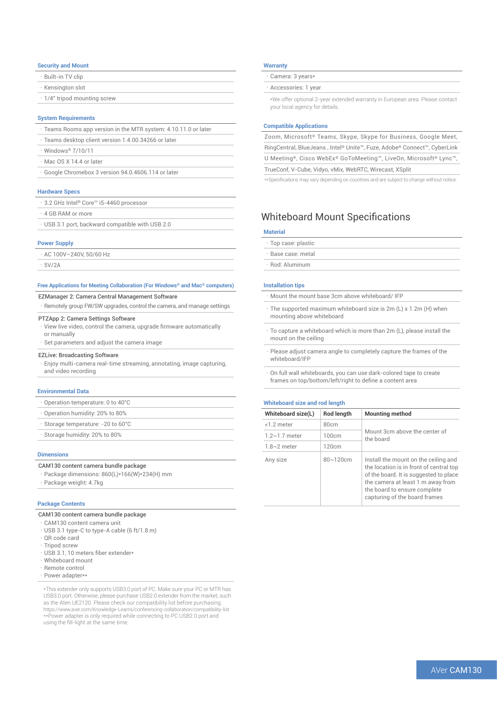#### **Security and Mount**

| · Built-in TV clip                 |  |
|------------------------------------|--|
| Kensington slot                    |  |
| $\cdot$ 1/4" tripod mounting screw |  |
|                                    |  |

#### **System Requirements**

- .Teams Rooms app version in the MTR system: 4.10.11.0 or later
- Teams desktop client version 1.4.00.34266 or later
- .Windows® 7/10/11
- Mac OS X 14.4 or later
- .Google Chromebox 3 version 94.0.4606.114 or later

#### **Hardware Specs**

| . 3.2 GHz Intel® Core™ i5-4460 processor |  |
|------------------------------------------|--|
| · 4 GB RAM or more                       |  |

.USB 3.1 port, backward compatible with USB 2.0

#### **Power Supply**

 $\cdot$  AC 100V-240V, 50/60 Hz

.5V/2A

## **Free Applications for Meeting Collaboration (For Windows® and Mac® computers)**

# EZManager 2: Camera Central Management Software

.Remotely group FW/SW upgrades, control the camera, and manage settings

# PTZApp 2: Camera Settings Software

- .View live video, control the camera, upgrade firmware automatically or manually
- $\cdot$  Set parameters and adjust the camera image

#### EZLive: Broadcasting Software

.Enjoy multi-camera real-time streaming, annotating, image capturing, and video recording

#### **Environmental Data**

- .Operation temperature: 0 to 40°C
- .Operation humidity: 20% to 80%
- Storage temperature: -20 to 60°C
- .Storage humidity: 20% to 80%

#### **Dimensions**

#### CAM130 content camera bundle package

.Package dimensions: 860(L)\*166(W)\*234(H) mm .Package weight: 4.7kg

#### **Package Contents**

## CAM130 content camera bundle package

- .CAM130 content camera unit
- .USB 3.1 type-C to type-A cable (6 ft/1.8 m)
- . OR code card .Tripod screw
- .USB 3.1, 10 meters fiber extender\*
- .Whiteboard mount
- .Remote control
- Power adapter\*\*

\*This extender only supports USB3.0 port of PC. Make sure your PC or MTR has USB3.0 port. Otherwise, please purchase USB2.0 extender from the market, such as the Aten UE2120. Please check our compatibility list before purchasing. https://www.aver.com/Knowledge-Learns/conferencing-collaboration/compatibility-list \*\*Power adapter is only required while connecting to PC USB2.0 port and using the fill-light at the same time.

#### **Warranty**

Camera: 3 years\*

# .Accessories: 1 year

\*We offer optional 2-year extended warranty in European area. Please contact your local agency for details.

#### **Compatible Applications**

Zoom, Microsoft® Teams, Skype, Skype for Business, Google Meet, RingCentral, BlueJeans , Intel® Unite™, Fuze, Adobe® Connect™, CyberLink U Meeting®, Cisco WebEx® GoToMeeting™, LiveOn, Microsoft® Lync™, TrueConf, V-Cube, Vidyo, vMix, WebRTC, Wirecast, XSplit

\*\*Specifications may vary depending on countries and are subject to change without notice.

# Whiteboard Mount Specifications

# **Material**

- .Top case: plastic
- .Base case: metal
- .Rod: Aluminum

#### **Installation tips**

- .Mount the mount base 3cm above whiteboard/ IFP
- The supported maximum whiteboard size is 2m (L) x 1.2m (H) when mounting above whiteboard
- .To capture a whiteboard which is more than 2m (L), please install the mount on the ceiling
- .Please adjust camera angle to completely capture the frames of the whiteboard/IFP
- .On full wall whiteboards, you can use dark-colored tape to create frames on top/bottom/left/right to define a content area

#### **Whiteboard size and rod length**

| Whiteboard size(L)   | Rod length    | <b>Mounting method</b>                                                                                                                                                                                                          |
|----------------------|---------------|---------------------------------------------------------------------------------------------------------------------------------------------------------------------------------------------------------------------------------|
| <1.2 meter           | 80cm          | Mount 3cm above the center of<br>the board                                                                                                                                                                                      |
| $1.2 \sim 1.7$ meter | 100cm         |                                                                                                                                                                                                                                 |
| $1.8~2$ meter        | 120cm         |                                                                                                                                                                                                                                 |
| Any size             | $80 - 120$ cm | Install the mount on the ceiling and<br>the location is in front of central top<br>of the board. It is suggested to place<br>the camera at least 1 m away from<br>the board to ensure complete<br>capturing of the board frames |